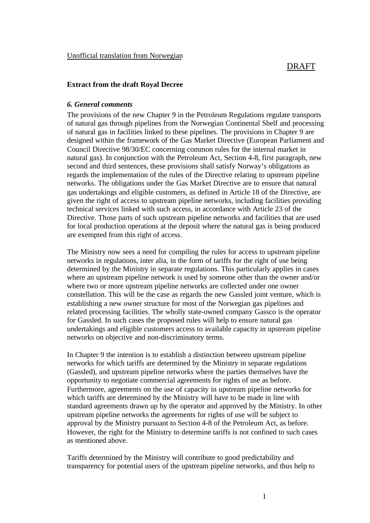# **Extract from the draft Royal Decree**

# *6. General comments*

The provisions of the new Chapter 9 in the Petroleum Regulations regulate transports of natural gas through pipelines from the Norwegian Continental Shelf and processing of natural gas in facilities linked to these pipelines. The provisions in Chapter 9 are designed within the framework of the Gas Market Directive (European Parliament and Council Directive 98/30/EC concerning common rules for the internal market in natural gas). In conjunction with the Petroleum Act, Section 4-8, first paragraph, new second and third sentences, these provisions shall satisfy Norway's obligations as regards the implementation of the rules of the Directive relating to upstream pipeline networks. The obligations under the Gas Market Directive are to ensure that natural gas undertakings and eligible customers, as defined in Article 18 of the Directive, are given the right of access to upstream pipeline networks, including facilities providing technical services linked with such access, in accordance with Article 23 of the Directive. Those parts of such upstream pipeline networks and facilities that are used for local production operations at the deposit where the natural gas is being produced are exempted from this right of access.

The Ministry now sees a need for compiling the rules for access to upstream pipeline networks in regulations, inter alia, in the form of tariffs for the right of use being determined by the Ministry in separate regulations. This particularly applies in cases where an upstream pipeline network is used by someone other than the owner and/or where two or more upstream pipeline networks are collected under one owner constellation. This will be the case as regards the new Gassled joint venture, which is establishing a new owner structure for most of the Norwegian gas pipelines and related processing facilities. The wholly state-owned company Gassco is the operator for Gassled. In such cases the proposed rules will help to ensure natural gas undertakings and eligible customers access to available capacity in upstream pipeline networks on objective and non-discriminatory terms.

In Chapter 9 the intention is to establish a distinction between upstream pipeline networks for which tariffs are determined by the Ministry in separate regulations (Gassled), and upstream pipeline networks where the parties themselves have the opportunity to negotiate commercial agreements for rights of use as before. Furthermore, agreements on the use of capacity in upstream pipeline networks for which tariffs are determined by the Ministry will have to be made in line with standard agreements drawn up by the operator and approved by the Ministry. In other upstream pipeline networks the agreements for rights of use will be subject to approval by the Ministry pursuant to Section 4-8 of the Petroleum Act, as before. However, the right for the Ministry to determine tariffs is not confined to such cases as mentioned above.

Tariffs determined by the Ministry will contribute to good predictability and transparency for potential users of the upstream pipeline networks, and thus help to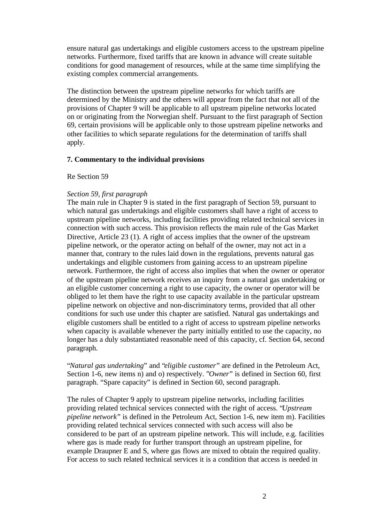ensure natural gas undertakings and eligible customers access to the upstream pipeline networks. Furthermore, fixed tariffs that are known in advance will create suitable conditions for good management of resources, while at the same time simplifying the existing complex commercial arrangements.

The distinction between the upstream pipeline networks for which tariffs are determined by the Ministry and the others will appear from the fact that not all of the provisions of Chapter 9 will be applicable to all upstream pipeline networks located on or originating from the Norwegian shelf. Pursuant to the first paragraph of Section 69, certain provisions will be applicable only to those upstream pipeline networks and other facilities to which separate regulations for the determination of tariffs shall apply.

# **7. Commentary to the individual provisions**

## Re Section 59

# *Section 59, first paragraph*

The main rule in Chapter 9 is stated in the first paragraph of Section 59, pursuant to which natural gas undertakings and eligible customers shall have a right of access to upstream pipeline networks, including facilities providing related technical services in connection with such access. This provision reflects the main rule of the Gas Market Directive, Article 23 (1). A right of access implies that the owner of the upstream pipeline network, or the operator acting on behalf of the owner, may not act in a manner that, contrary to the rules laid down in the regulations, prevents natural gas undertakings and eligible customers from gaining access to an upstream pipeline network. Furthermore, the right of access also implies that when the owner or operator of the upstream pipeline network receives an inquiry from a natural gas undertaking or an eligible customer concerning a right to use capacity, the owner or operator will be obliged to let them have the right to use capacity available in the particular upstream pipeline network on objective and non-discriminatory terms, provided that all other conditions for such use under this chapter are satisfied. Natural gas undertakings and eligible customers shall be entitled to a right of access to upstream pipeline networks when capacity is available whenever the party initially entitled to use the capacity, no longer has a duly substantiated reasonable need of this capacity, cf. Section 64, second paragraph.

"*Natural gas undertaking*" and "*eligible customer*" are defined in the Petroleum Act, Section 1-6, new items n) and o) respectively. "*Owner*" is defined in Section 60, first paragraph. "Spare capacity" is defined in Section 60, second paragraph.

The rules of Chapter 9 apply to upstream pipeline networks, including facilities providing related technical services connected with the right of access. "*Upstream pipeline network*" is defined in the Petroleum Act, Section 1-6, new item m). Facilities providing related technical services connected with such access will also be considered to be part of an upstream pipeline network. This will include, e.g. facilities where gas is made ready for further transport through an upstream pipeline, for example Draupner E and S, where gas flows are mixed to obtain the required quality. For access to such related technical services it is a condition that access is needed in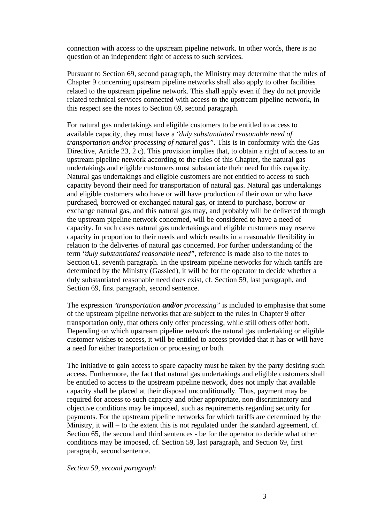connection with access to the upstream pipeline network. In other words, there is no question of an independent right of access to such services.

Pursuant to Section 69, second paragraph, the Ministry may determine that the rules of Chapter 9 concerning upstream pipeline networks shall also apply to other facilities related to the upstream pipeline network. This shall apply even if they do not provide related technical services connected with access to the upstream pipeline network, in this respect see the notes to Section 69, second paragraph.

For natural gas undertakings and eligible customers to be entitled to access to available capacity, they must have a "*duly substantiated reasonable need of transportation and/or processing of natural gas"*. This is in conformity with the Gas Directive, Article 23, 2 c). This provision implies that, to obtain a right of access to an upstream pipeline network according to the rules of this Chapter, the natural gas undertakings and eligible customers must substantiate their need for this capacity. Natural gas undertakings and eligible customers are not entitled to access to such capacity beyond their need for transportation of natural gas. Natural gas undertakings and eligible customers who have or will have production of their own or who have purchased, borrowed or exchanged natural gas, or intend to purchase, borrow or exchange natural gas, and this natural gas may, and probably will be delivered through the upstream pipeline network concerned, will be considered to have a need of capacity. In such cases natural gas undertakings and eligible customers may reserve capacity in proportion to their needs and which results in a reasonable flexibility in relation to the deliveries of natural gas concerned. For further understanding of the term "*duly substantiated reasonable need*", reference is made also to the notes to Section 61, seventh paragraph. In the upstream pipeline networks for which tariffs are determined by the Ministry (Gassled), it will be for the operator to decide whether a duly substantiated reasonable need does exist, cf. Section 59, last paragraph, and Section 69, first paragraph, second sentence.

The expression "*transportation and/or processing*" is included to emphasise that some of the upstream pipeline networks that are subject to the rules in Chapter 9 offer transportation only, that others only offer processing, while still others offer both. Depending on which upstream pipeline network the natural gas undertaking or eligible customer wishes to access, it will be entitled to access provided that it has or will have a need for either transportation or processing or both.

The initiative to gain access to spare capacity must be taken by the party desiring such access. Furthermore, the fact that natural gas undertakings and eligible customers shall be entitled to access to the upstream pipeline network, does not imply that available capacity shall be placed at their disposal unconditionally. Thus, payment may be required for access to such capacity and other appropriate, non-discriminatory and objective conditions may be imposed, such as requirements regarding security for payments. For the upstream pipeline networks for which tariffs are determined by the Ministry, it will – to the extent this is not regulated under the standard agreement, cf. Section 65, the second and third sentences - be for the operator to decide what other conditions may be imposed, cf. Section 59, last paragraph, and Section 69, first paragraph, second sentence.

# *Section 59, second paragraph*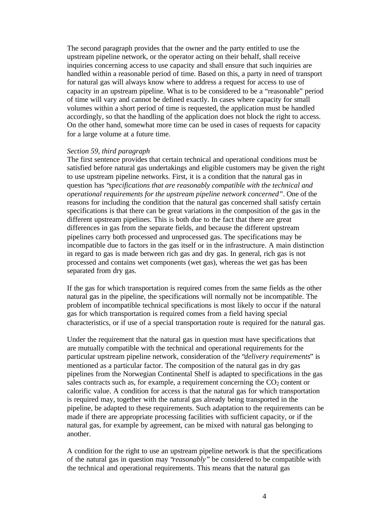The second paragraph provides that the owner and the party entitled to use the upstream pipeline network, or the operator acting on their behalf, shall receive inquiries concerning access to use capacity and shall ensure that such inquiries are handled within a reasonable period of time. Based on this, a party in need of transport for natural gas will always know where to address a request for access to use of capacity in an upstream pipeline. What is to be considered to be a "reasonable" period of time will vary and cannot be defined exactly. In cases where capacity for small volumes within a short period of time is requested, the application must be handled accordingly, so that the handling of the application does not block the right to access. On the other hand, somewhat more time can be used in cases of requests for capacity for a large volume at a future time.

#### *Section 59, third paragraph*

The first sentence provides that certain technical and operational conditions must be satisfied before natural gas undertakings and eligible customers may be given the right to use upstream pipeline networks. First, it is a condition that the natural gas in question has "*specifications that are reasonably compatible with the technical and operational requirements for the upstream pipeline network concerned"*. One of the reasons for including the condition that the natural gas concerned shall satisfy certain specifications is that there can be great variations in the composition of the gas in the different upstream pipelines. This is both due to the fact that there are great differences in gas from the separate fields, and because the different upstream pipelines carry both processed and unprocessed gas. The specifications may be incompatible due to factors in the gas itself or in the infrastructure. A main distinction in regard to gas is made between rich gas and dry gas. In general, rich gas is not processed and contains wet components (wet gas), whereas the wet gas has been separated from dry gas.

If the gas for which transportation is required comes from the same fields as the other natural gas in the pipeline, the specifications will normally not be incompatible. The problem of incompatible technical specifications is most likely to occur if the natural gas for which transportation is required comes from a field having special characteristics, or if use of a special transportation route is required for the natural gas.

Under the requirement that the natural gas in question must have specifications that are mutually compatible with the technical and operational requirements for the particular upstream pipeline network, consideration of the "*delivery requirements*" is mentioned as a particular factor. The composition of the natural gas in dry gas pipelines from the Norwegian Continental Shelf is adapted to specifications in the gas sales contracts such as, for example, a requirement concerning the  $CO<sub>2</sub>$  content or calorific value. A condition for access is that the natural gas for which transportation is required may, together with the natural gas already being transported in the pipeline, be adapted to these requirements. Such adaptation to the requirements can be made if there are appropriate processing facilities with sufficient capacity, or if the natural gas, for example by agreement, can be mixed with natural gas belonging to another.

A condition for the right to use an upstream pipeline network is that the specifications of the natural gas in question may "*reasonably"* be considered to be compatible with the technical and operational requirements. This means that the natural gas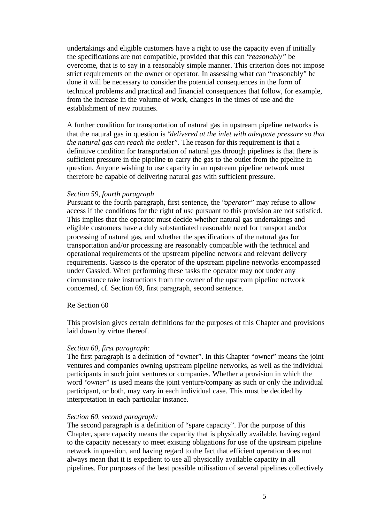undertakings and eligible customers have a right to use the capacity even if initially the specifications are not compatible, provided that this can "*reasonably"* be overcome, that is to say in a reasonably simple manner. This criterion does not impose strict requirements on the owner or operator. In assessing what can "reasonably" be done it will be necessary to consider the potential consequences in the form of technical problems and practical and financial consequences that follow, for example, from the increase in the volume of work, changes in the times of use and the establishment of new routines.

A further condition for transportation of natural gas in upstream pipeline networks is that the natural gas in question is "*delivered at the inlet with adequate pressure so that the natural gas can reach the outlet"*. The reason for this requirement is that a definitive condition for transportation of natural gas through pipelines is that there is sufficient pressure in the pipeline to carry the gas to the outlet from the pipeline in question. Anyone wishing to use capacity in an upstream pipeline network must therefore be capable of delivering natural gas with sufficient pressure.

# *Section 59, fourth paragraph*

Pursuant to the fourth paragraph, first sentence, the "*operator*" may refuse to allow access if the conditions for the right of use pursuant to this provision are not satisfied. This implies that the operator must decide whether natural gas undertakings and eligible customers have a duly substantiated reasonable need for transport and/or processing of natural gas, and whether the specifications of the natural gas for transportation and/or processing are reasonably compatible with the technical and operational requirements of the upstream pipeline network and relevant delivery requirements. Gassco is the operator of the upstream pipeline networks encompassed under Gassled. When performing these tasks the operator may not under any circumstance take instructions from the owner of the upstream pipeline network concerned, cf. Section 69, first paragraph, second sentence.

## Re Section 60

This provision gives certain definitions for the purposes of this Chapter and provisions laid down by virtue thereof.

## *Section 60, first paragraph:*

The first paragraph is a definition of "owner". In this Chapter "owner" means the joint ventures and companies owning upstream pipeline networks, as well as the individual participants in such joint ventures or companies. Whether a provision in which the word "*owner*" is used means the joint venture/company as such or only the individual participant, or both, may vary in each individual case. This must be decided by interpretation in each particular instance.

## *Section 60, second paragraph:*

The second paragraph is a definition of "spare capacity". For the purpose of this Chapter, spare capacity means the capacity that is physically available, having regard to the capacity necessary to meet existing obligations for use of the upstream pipeline network in question, and having regard to the fact that efficient operation does not always mean that it is expedient to use all physically available capacity in all pipelines. For purposes of the best possible utilisation of several pipelines collectively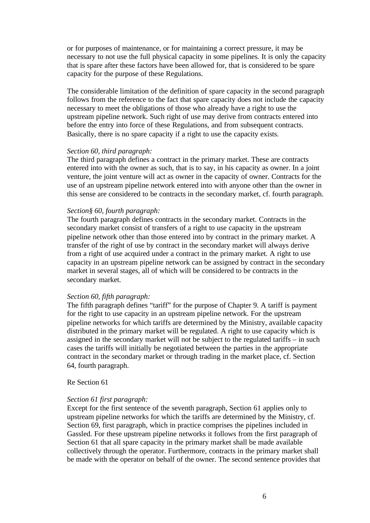or for purposes of maintenance, or for maintaining a correct pressure, it may be necessary to not use the full physical capacity in some pipelines. It is only the capacity that is spare after these factors have been allowed for, that is considered to be spare capacity for the purpose of these Regulations.

The considerable limitation of the definition of spare capacity in the second paragraph follows from the reference to the fact that spare capacity does not include the capacity necessary to meet the obligations of those who already have a right to use the upstream pipeline network. Such right of use may derive from contracts entered into before the entry into force of these Regulations, and from subsequent contracts. Basically, there is no spare capacity if a right to use the capacity exists.

#### *Section 60, third paragraph:*

The third paragraph defines a contract in the primary market. These are contracts entered into with the owner as such, that is to say, in his capacity as owner. In a joint venture, the joint venture will act as owner in the capacity of owner. Contracts for the use of an upstream pipeline network entered into with anyone other than the owner in this sense are considered to be contracts in the secondary market, cf. fourth paragraph.

#### *Section§ 60, fourth paragraph:*

The fourth paragraph defines contracts in the secondary market. Contracts in the secondary market consist of transfers of a right to use capacity in the upstream pipeline network other than those entered into by contract in the primary market. A transfer of the right of use by contract in the secondary market will always derive from a right of use acquired under a contract in the primary market. A right to use capacity in an upstream pipeline network can be assigned by contract in the secondary market in several stages, all of which will be considered to be contracts in the secondary market.

## *Section 60, fifth paragraph:*

The fifth paragraph defines "tariff" for the purpose of Chapter 9. A tariff is payment for the right to use capacity in an upstream pipeline network. For the upstream pipeline networks for which tariffs are determined by the Ministry, available capacity distributed in the primary market will be regulated. A right to use capacity which is assigned in the secondary market will not be subject to the regulated tariffs – in such cases the tariffs will initially be negotiated between the parties in the appropriate contract in the secondary market or through trading in the market place, cf. Section 64, fourth paragraph.

#### Re Section 61

## *Section 61 first paragraph:*

Except for the first sentence of the seventh paragraph, Section 61 applies only to upstream pipeline networks for which the tariffs are determined by the Ministry, cf. Section 69, first paragraph, which in practice comprises the pipelines included in Gassled. For these upstream pipeline networks it follows from the first paragraph of Section 61 that all spare capacity in the primary market shall be made available collectively through the operator. Furthermore, contracts in the primary market shall be made with the operator on behalf of the owner. The second sentence provides that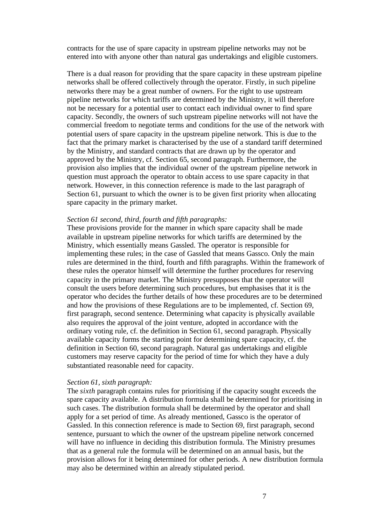contracts for the use of spare capacity in upstream pipeline networks may not be entered into with anyone other than natural gas undertakings and eligible customers.

There is a dual reason for providing that the spare capacity in these upstream pipeline networks shall be offered collectively through the operator. Firstly, in such pipeline networks there may be a great number of owners. For the right to use upstream pipeline networks for which tariffs are determined by the Ministry, it will therefore not be necessary for a potential user to contact each individual owner to find spare capacity. Secondly, the owners of such upstream pipeline networks will not have the commercial freedom to negotiate terms and conditions for the use of the network with potential users of spare capacity in the upstream pipeline network. This is due to the fact that the primary market is characterised by the use of a standard tariff determined by the Ministry, and standard contracts that are drawn up by the operator and approved by the Ministry, cf. Section 65, second paragraph. Furthermore, the provision also implies that the individual owner of the upstream pipeline network in question must approach the operator to obtain access to use spare capacity in that network. However, in this connection reference is made to the last paragraph of Section 61, pursuant to which the owner is to be given first priority when allocating spare capacity in the primary market.

#### *Section 61 second, third, fourth and fifth paragraphs:*

These provisions provide for the manner in which spare capacity shall be made available in upstream pipeline networks for which tariffs are determined by the Ministry, which essentially means Gassled. The operator is responsible for implementing these rules; in the case of Gassled that means Gassco. Only the main rules are determined in the third, fourth and fifth paragraphs. Within the framework of these rules the operator himself will determine the further procedures for reserving capacity in the primary market. The Ministry presupposes that the operator will consult the users before determining such procedures, but emphasises that it is the operator who decides the further details of how these procedures are to be determined and how the provisions of these Regulations are to be implemented, cf. Section 69, first paragraph, second sentence. Determining what capacity is physically available also requires the approval of the joint venture, adopted in accordance with the ordinary voting rule, cf. the definition in Section 61, second paragraph. Physically available capacity forms the starting point for determining spare capacity, cf. the definition in Section 60, second paragraph. Natural gas undertakings and eligible customers may reserve capacity for the period of time for which they have a duly substantiated reasonable need for capacity.

#### *Section 61, sixth paragraph:*

The *sixth* paragraph contains rules for prioritising if the capacity sought exceeds the spare capacity available. A distribution formula shall be determined for prioritising in such cases. The distribution formula shall be determined by the operator and shall apply for a set period of time. As already mentioned, Gassco is the operator of Gassled. In this connection reference is made to Section 69, first paragraph, second sentence, pursuant to which the owner of the upstream pipeline network concerned will have no influence in deciding this distribution formula. The Ministry presumes that as a general rule the formula will be determined on an annual basis, but the provision allows for it being determined for other periods. A new distribution formula may also be determined within an already stipulated period.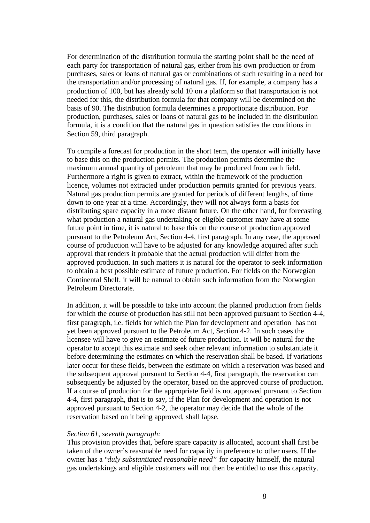For determination of the distribution formula the starting point shall be the need of each party for transportation of natural gas, either from his own production or from purchases, sales or loans of natural gas or combinations of such resulting in a need for the transportation and/or processing of natural gas. If, for example, a company has a production of 100, but has already sold 10 on a platform so that transportation is not needed for this, the distribution formula for that company will be determined on the basis of 90. The distribution formula determines a proportionate distribution. For production, purchases, sales or loans of natural gas to be included in the distribution formula, it is a condition that the natural gas in question satisfies the conditions in Section 59, third paragraph.

To compile a forecast for production in the short term, the operator will initially have to base this on the production permits. The production permits determine the maximum annual quantity of petroleum that may be produced from each field. Furthermore a right is given to extract, within the framework of the production licence, volumes not extracted under production permits granted for previous years. Natural gas production permits are granted for periods of different lengths, of time down to one year at a time. Accordingly, they will not always form a basis for distributing spare capacity in a more distant future. On the other hand, for forecasting what production a natural gas undertaking or eligible customer may have at some future point in time, it is natural to base this on the course of production approved pursuant to the Petroleum Act, Section 4-4, first paragraph. In any case, the approved course of production will have to be adjusted for any knowledge acquired after such approval that renders it probable that the actual production will differ from the approved production. In such matters it is natural for the operator to seek information to obtain a best possible estimate of future production. For fields on the Norwegian Continental Shelf, it will be natural to obtain such information from the Norwegian Petroleum Directorate.

In addition, it will be possible to take into account the planned production from fields for which the course of production has still not been approved pursuant to Section 4-4, first paragraph, i.e. fields for which the Plan for development and operation has not yet been approved pursuant to the Petroleum Act, Section 4-2. In such cases the licensee will have to give an estimate of future production. It will be natural for the operator to accept this estimate and seek other relevant information to substantiate it before determining the estimates on which the reservation shall be based. If variations later occur for these fields, between the estimate on which a reservation was based and the subsequent approval pursuant to Section 4-4, first paragraph, the reservation can subsequently be adjusted by the operator, based on the approved course of production. If a course of production for the appropriate field is not approved pursuant to Section 4-4, first paragraph, that is to say, if the Plan for development and operation is not approved pursuant to Section 4-2, the operator may decide that the whole of the reservation based on it being approved, shall lapse.

## *Section 61, seventh paragraph:*

This provision provides that, before spare capacity is allocated, account shall first be taken of the owner's reasonable need for capacity in preference to other users. If the owner has a "*duly substantiated reasonable need"* for capacity himself, the natural gas undertakings and eligible customers will not then be entitled to use this capacity.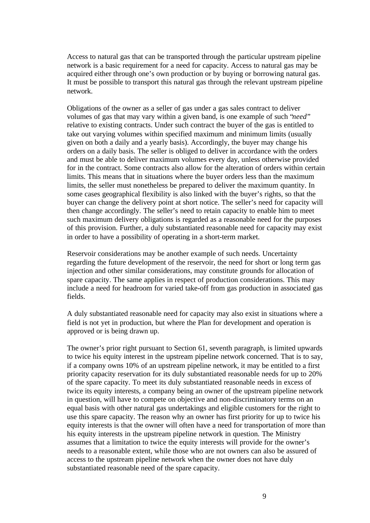Access to natural gas that can be transported through the particular upstream pipeline network is a basic requirement for a need for capacity. Access to natural gas may be acquired either through one's own production or by buying or borrowing natural gas. It must be possible to transport this natural gas through the relevant upstream pipeline network.

Obligations of the owner as a seller of gas under a gas sales contract to deliver volumes of gas that may vary within a given band, is one example of such "*need*" relative to existing contracts. Under such contract the buyer of the gas is entitled to take out varying volumes within specified maximum and minimum limits (usually given on both a daily and a yearly basis). Accordingly, the buyer may change his orders on a daily basis. The seller is obliged to deliver in accordance with the orders and must be able to deliver maximum volumes every day, unless otherwise provided for in the contract. Some contracts also allow for the alteration of orders within certain limits. This means that in situations where the buyer orders less than the maximum limits, the seller must nonetheless be prepared to deliver the maximum quantity. In some cases geographical flexibility is also linked with the buyer's rights, so that the buyer can change the delivery point at short notice. The seller's need for capacity will then change accordingly. The seller's need to retain capacity to enable him to meet such maximum delivery obligations is regarded as a reasonable need for the purposes of this provision. Further, a duly substantiated reasonable need for capacity may exist in order to have a possibility of operating in a short-term market.

Reservoir considerations may be another example of such needs. Uncertainty regarding the future development of the reservoir, the need for short or long term gas injection and other similar considerations, may constitute grounds for allocation of spare capacity. The same applies in respect of production considerations. This may include a need for headroom for varied take-off from gas production in associated gas fields.

A duly substantiated reasonable need for capacity may also exist in situations where a field is not yet in production, but where the Plan for development and operation is approved or is being drawn up.

The owner's prior right pursuant to Section 61, seventh paragraph, is limited upwards to twice his equity interest in the upstream pipeline network concerned. That is to say, if a company owns 10% of an upstream pipeline network, it may be entitled to a first priority capacity reservation for its duly substantiated reasonable needs for up to 20% of the spare capacity. To meet its duly substantiated reasonable needs in excess of twice its equity interests, a company being an owner of the upstream pipeline network in question, will have to compete on objective and non-discriminatory terms on an equal basis with other natural gas undertakings and eligible customers for the right to use this spare capacity. The reason why an owner has first priority for up to twice his equity interests is that the owner will often have a need for transportation of more than his equity interests in the upstream pipeline network in question. The Ministry assumes that a limitation to twice the equity interests will provide for the owner's needs to a reasonable extent, while those who are not owners can also be assured of access to the upstream pipeline network when the owner does not have duly substantiated reasonable need of the spare capacity.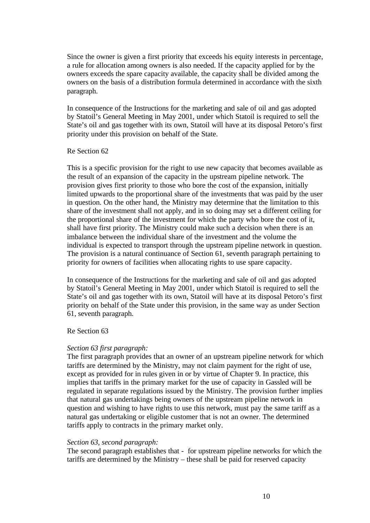Since the owner is given a first priority that exceeds his equity interests in percentage, a rule for allocation among owners is also needed. If the capacity applied for by the owners exceeds the spare capacity available, the capacity shall be divided among the owners on the basis of a distribution formula determined in accordance with the sixth paragraph.

In consequence of the Instructions for the marketing and sale of oil and gas adopted by Statoil's General Meeting in May 2001, under which Statoil is required to sell the State's oil and gas together with its own, Statoil will have at its disposal Petoro's first priority under this provision on behalf of the State.

# Re Section 62

This is a specific provision for the right to use new capacity that becomes available as the result of an expansion of the capacity in the upstream pipeline network. The provision gives first priority to those who bore the cost of the expansion, initially limited upwards to the proportional share of the investments that was paid by the user in question. On the other hand, the Ministry may determine that the limitation to this share of the investment shall not apply, and in so doing may set a different ceiling for the proportional share of the investment for which the party who bore the cost of it, shall have first priority. The Ministry could make such a decision when there is an imbalance between the individual share of the investment and the volume the individual is expected to transport through the upstream pipeline network in question. The provision is a natural continuance of Section 61, seventh paragraph pertaining to priority for owners of facilities when allocating rights to use spare capacity.

In consequence of the Instructions for the marketing and sale of oil and gas adopted by Statoil's General Meeting in May 2001, under which Statoil is required to sell the State's oil and gas together with its own, Statoil will have at its disposal Petoro's first priority on behalf of the State under this provision, in the same way as under Section 61, seventh paragraph.

# Re Section 63

## *Section 63 first paragraph:*

The first paragraph provides that an owner of an upstream pipeline network for which tariffs are determined by the Ministry, may not claim payment for the right of use, except as provided for in rules given in or by virtue of Chapter 9. In practice, this implies that tariffs in the primary market for the use of capacity in Gassled will be regulated in separate regulations issued by the Ministry. The provision further implies that natural gas undertakings being owners of the upstream pipeline network in question and wishing to have rights to use this network, must pay the same tariff as a natural gas undertaking or eligible customer that is not an owner. The determined tariffs apply to contracts in the primary market only.

## *Section 63, second paragraph:*

The second paragraph establishes that - for upstream pipeline networks for which the tariffs are determined by the Ministry – these shall be paid for reserved capacity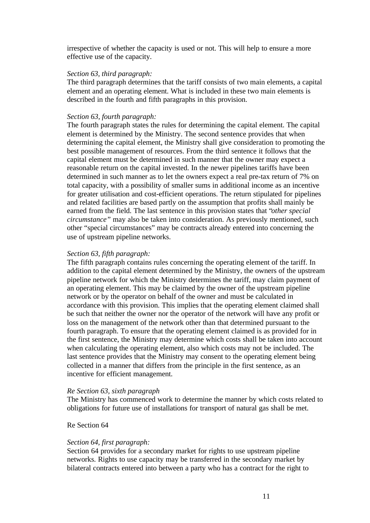irrespective of whether the capacity is used or not. This will help to ensure a more effective use of the capacity.

#### *Section 63, third paragraph:*

The third paragraph determines that the tariff consists of two main elements, a capital element and an operating element. What is included in these two main elements is described in the fourth and fifth paragraphs in this provision.

#### *Section 63, fourth paragraph:*

The fourth paragraph states the rules for determining the capital element. The capital element is determined by the Ministry. The second sentence provides that when determining the capital element, the Ministry shall give consideration to promoting the best possible management of resources. From the third sentence it follows that the capital element must be determined in such manner that the owner may expect a reasonable return on the capital invested. In the newer pipelines tariffs have been determined in such manner as to let the owners expect a real pre-tax return of 7% on total capacity, with a possibility of smaller sums in additional income as an incentive for greater utilisation and cost-efficient operations. The return stipulated for pipelines and related facilities are based partly on the assumption that profits shall mainly be earned from the field. The last sentence in this provision states that "*other special circumstance"* may also be taken into consideration. As previously mentioned, such other "special circumstances" may be contracts already entered into concerning the use of upstream pipeline networks.

#### *Section 63, fifth paragraph:*

The fifth paragraph contains rules concerning the operating element of the tariff. In addition to the capital element determined by the Ministry, the owners of the upstream pipeline network for which the Ministry determines the tariff, may claim payment of an operating element. This may be claimed by the owner of the upstream pipeline network or by the operator on behalf of the owner and must be calculated in accordance with this provision. This implies that the operating element claimed shall be such that neither the owner nor the operator of the network will have any profit or loss on the management of the network other than that determined pursuant to the fourth paragraph. To ensure that the operating element claimed is as provided for in the first sentence, the Ministry may determine which costs shall be taken into account when calculating the operating element, also which costs may not be included. The last sentence provides that the Ministry may consent to the operating element being collected in a manner that differs from the principle in the first sentence, as an incentive for efficient management.

#### *Re Section 63, sixth paragraph*

The Ministry has commenced work to determine the manner by which costs related to obligations for future use of installations for transport of natural gas shall be met.

#### Re Section 64

#### *Section 64, first paragraph:*

Section 64 provides for a secondary market for rights to use upstream pipeline networks. Rights to use capacity may be transferred in the secondary market by bilateral contracts entered into between a party who has a contract for the right to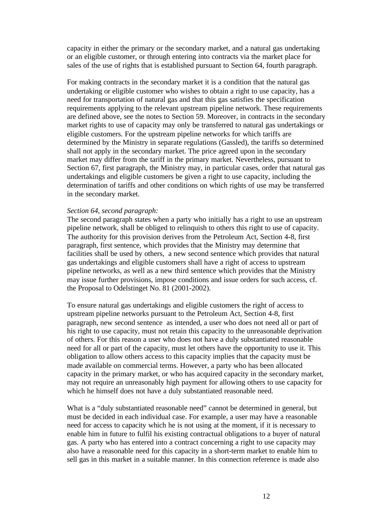capacity in either the primary or the secondary market, and a natural gas undertaking or an eligible customer, or through entering into contracts via the market place for sales of the use of rights that is established pursuant to Section 64, fourth paragraph.

For making contracts in the secondary market it is a condition that the natural gas undertaking or eligible customer who wishes to obtain a right to use capacity, has a need for transportation of natural gas and that this gas satisfies the specification requirements applying to the relevant upstream pipeline network. These requirements are defined above, see the notes to Section 59. Moreover, in contracts in the secondary market rights to use of capacity may only be transferred to natural gas undertakings or eligible customers. For the upstream pipeline networks for which tariffs are determined by the Ministry in separate regulations (Gassled), the tariffs so determined shall not apply in the secondary market. The price agreed upon in the secondary market may differ from the tariff in the primary market. Nevertheless, pursuant to Section 67, first paragraph, the Ministry may, in particular cases, order that natural gas undertakings and eligible customers be given a right to use capacity, including the determination of tariffs and other conditions on which rights of use may be transferred in the secondary market.

## *Section 64, second paragraph:*

The second paragraph states when a party who initially has a right to use an upstream pipeline network, shall be obliged to relinquish to others this right to use of capacity. The authority for this provision derives from the Petroleum Act, Section 4-8, first paragraph, first sentence, which provides that the Ministry may determine that facilities shall be used by others, a new second sentence which provides that natural gas undertakings and eligible customers shall have a right of access to upstream pipeline networks, as well as a new third sentence which provides that the Ministry may issue further provisions, impose conditions and issue orders for such access, cf. the Proposal to Odelstinget No. 81 (2001-2002).

To ensure natural gas undertakings and eligible customers the right of access to upstream pipeline networks pursuant to the Petroleum Act, Section 4-8, first paragraph, new second sentence as intended, a user who does not need all or part of his right to use capacity, must not retain this capacity to the unreasonable deprivation of others. For this reason a user who does not have a duly substantiated reasonable need for all or part of the capacity, must let others have the opportunity to use it. This obligation to allow others access to this capacity implies that the capacity must be made available on commercial terms. However, a party who has been allocated capacity in the primary market, or who has acquired capacity in the secondary market, may not require an unreasonably high payment for allowing others to use capacity for which he himself does not have a duly substantiated reasonable need.

What is a "duly substantiated reasonable need" cannot be determined in general, but must be decided in each individual case. For example, a user may have a reasonable need for access to capacity which he is not using at the moment, if it is necessary to enable him in future to fulfil his existing contractual obligations to a buyer of natural gas. A party who has entered into a contract concerning a right to use capacity may also have a reasonable need for this capacity in a short-term market to enable him to sell gas in this market in a suitable manner. In this connection reference is made also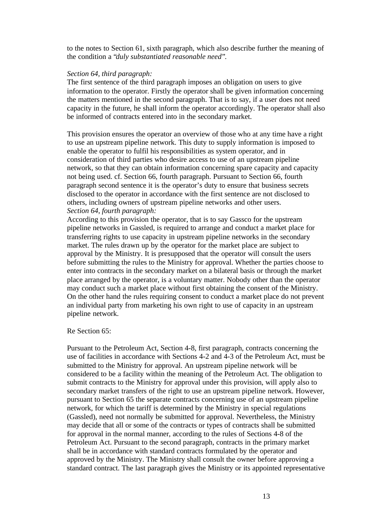to the notes to Section 61, sixth paragraph, which also describe further the meaning of the condition a "*duly substantiated reasonable need*".

#### *Section 64, third paragraph:*

The first sentence of the third paragraph imposes an obligation on users to give information to the operator. Firstly the operator shall be given information concerning the matters mentioned in the second paragraph. That is to say, if a user does not need capacity in the future, he shall inform the operator accordingly. The operator shall also be informed of contracts entered into in the secondary market.

This provision ensures the operator an overview of those who at any time have a right to use an upstream pipeline network. This duty to supply information is imposed to enable the operator to fulfil his responsibilities as system operator, and in consideration of third parties who desire access to use of an upstream pipeline network, so that they can obtain information concerning spare capacity and capacity not being used. cf. Section 66, fourth paragraph. Pursuant to Section 66, fourth paragraph second sentence it is the operator's duty to ensure that business secrets disclosed to the operator in accordance with the first sentence are not disclosed to others, including owners of upstream pipeline networks and other users. *Section 64, fourth paragraph:*

According to this provision the operator, that is to say Gassco for the upstream pipeline networks in Gassled, is required to arrange and conduct a market place for transferring rights to use capacity in upstream pipeline networks in the secondary market. The rules drawn up by the operator for the market place are subject to approval by the Ministry. It is presupposed that the operator will consult the users before submitting the rules to the Ministry for approval. Whether the parties choose to enter into contracts in the secondary market on a bilateral basis or through the market place arranged by the operator, is a voluntary matter. Nobody other than the operator may conduct such a market place without first obtaining the consent of the Ministry. On the other hand the rules requiring consent to conduct a market place do not prevent an individual party from marketing his own right to use of capacity in an upstream pipeline network.

#### Re Section 65:

Pursuant to the Petroleum Act, Section 4-8, first paragraph, contracts concerning the use of facilities in accordance with Sections 4-2 and 4-3 of the Petroleum Act, must be submitted to the Ministry for approval. An upstream pipeline network will be considered to be a facility within the meaning of the Petroleum Act. The obligation to submit contracts to the Ministry for approval under this provision, will apply also to secondary market transfers of the right to use an upstream pipeline network. However, pursuant to Section 65 the separate contracts concerning use of an upstream pipeline network, for which the tariff is determined by the Ministry in special regulations (Gassled), need not normally be submitted for approval. Nevertheless, the Ministry may decide that all or some of the contracts or types of contracts shall be submitted for approval in the normal manner, according to the rules of Sections 4-8 of the Petroleum Act. Pursuant to the second paragraph, contracts in the primary market shall be in accordance with standard contracts formulated by the operator and approved by the Ministry. The Ministry shall consult the owner before approving a standard contract. The last paragraph gives the Ministry or its appointed representative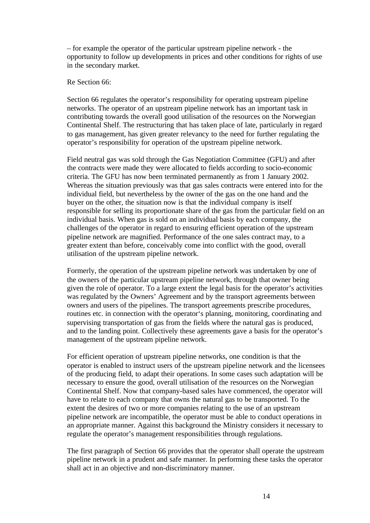– for example the operator of the particular upstream pipeline network - the opportunity to follow up developments in prices and other conditions for rights of use in the secondary market.

# Re Section 66:

Section 66 regulates the operator's responsibility for operating upstream pipeline networks. The operator of an upstream pipeline network has an important task in contributing towards the overall good utilisation of the resources on the Norwegian Continental Shelf. The restructuring that has taken place of late, particularly in regard to gas management, has given greater relevancy to the need for further regulating the operator's responsibility for operation of the upstream pipeline network.

Field neutral gas was sold through the Gas Negotiation Committee (GFU) and after the contracts were made they were allocated to fields according to socio-economic criteria. The GFU has now been terminated permanently as from 1 January 2002. Whereas the situation previously was that gas sales contracts were entered into for the individual field, but nevertheless by the owner of the gas on the one hand and the buyer on the other, the situation now is that the individual company is itself responsible for selling its proportionate share of the gas from the particular field on an individual basis. When gas is sold on an individual basis by each company, the challenges of the operator in regard to ensuring efficient operation of the upstream pipeline network are magnified. Performance of the one sales contract may, to a greater extent than before, conceivably come into conflict with the good, overall utilisation of the upstream pipeline network.

Formerly, the operation of the upstream pipeline network was undertaken by one of the owners of the particular upstream pipeline network, through that owner being given the role of operator. To a large extent the legal basis for the operator's activities was regulated by the Owners' Agreement and by the transport agreements between owners and users of the pipelines. The transport agreements prescribe procedures, routines etc. in connection with the operator's planning, monitoring, coordinating and supervising transportation of gas from the fields where the natural gas is produced, and to the landing point. Collectively these agreements gave a basis for the operator's management of the upstream pipeline network.

For efficient operation of upstream pipeline networks, one condition is that the operator is enabled to instruct users of the upstream pipeline network and the licensees of the producing field, to adapt their operations. In some cases such adaptation will be necessary to ensure the good, overall utilisation of the resources on the Norwegian Continental Shelf. Now that company-based sales have commenced, the operator will have to relate to each company that owns the natural gas to be transported. To the extent the desires of two or more companies relating to the use of an upstream pipeline network are incompatible, the operator must be able to conduct operations in an appropriate manner. Against this background the Ministry considers it necessary to regulate the operator's management responsibilities through regulations.

The first paragraph of Section 66 provides that the operator shall operate the upstream pipeline network in a prudent and safe manner. In performing these tasks the operator shall act in an objective and non-discriminatory manner.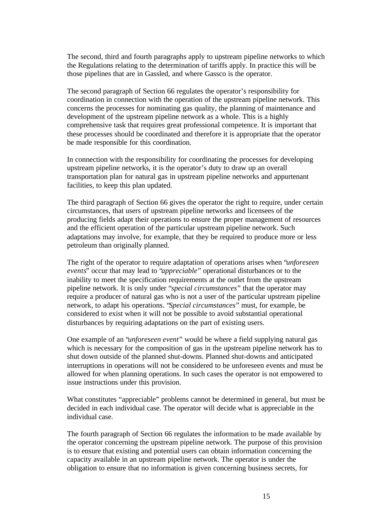The second, third and fourth paragraphs apply to upstream pipeline networks to which the Regulations relating to the determination of tariffs apply. In practice this will be those pipelines that are in Gassled, and where Gassco is the operator.

The second paragraph of Section 66 regulates the operator's responsibility for coordination in connection with the operation of the upstream pipeline network. This concerns the processes for nominating gas quality, the planning of maintenance and development of the upstream pipeline network as a whole. This is a highly comprehensive task that requires great professional competence. It is important that these processes should be coordinated and therefore it is appropriate that the operator be made responsible for this coordination.

In connection with the responsibility for coordinating the processes for developing upstream pipeline networks, it is the operator's duty to draw up an overall transportation plan for natural gas in upstream pipeline networks and appurtenant facilities, to keep this plan updated.

The third paragraph of Section 66 gives the operator the right to require, under certain circumstances, that users of upstream pipeline networks and licensees of the producing fields adapt their operations to ensure the proper management of resources and the efficient operation of the particular upstream pipeline network. Such adaptations may involve, for example, that they be required to produce more or less petroleum than originally planned.

The right of the operator to require adaptation of operations arises when "*unforeseen events*" occur that may lead to "*appreciable*" operational disturbances or to the inability to meet the specification requirements at the outlet from the upstream pipeline network. It is only under "*special circumstances*" that the operator may require a producer of natural gas who is not a user of the particular upstream pipeline network, to adapt his operations. "*Special circumstances*" must, for example, be considered to exist when it will not be possible to avoid substantial operational disturbances by requiring adaptations on the part of existing users.

One example of an "*unforeseen event*" would be where a field supplying natural gas which is necessary for the composition of gas in the upstream pipeline network has to shut down outside of the planned shut-downs. Planned shut-downs and anticipated interruptions in operations will not be considered to be unforeseen events and must be allowed for when planning operations. In such cases the operator is not empowered to issue instructions under this provision.

What constitutes "appreciable" problems cannot be determined in general, but must be decided in each individual case. The operator will decide what is appreciable in the individual case.

The fourth paragraph of Section 66 regulates the information to be made available by the operator concerning the upstream pipeline network. The purpose of this provision is to ensure that existing and potential users can obtain information concerning the capacity available in an upstream pipeline network. The operator is under the obligation to ensure that no information is given concerning business secrets, for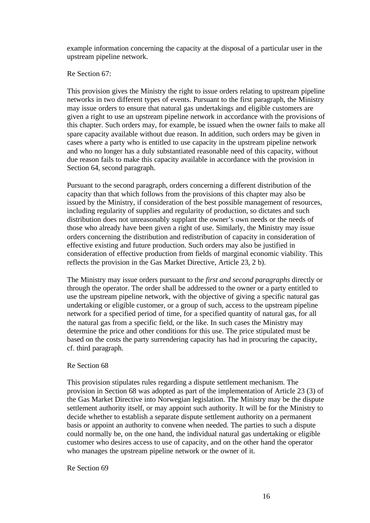example information concerning the capacity at the disposal of a particular user in the upstream pipeline network.

## Re Section 67:

This provision gives the Ministry the right to issue orders relating to upstream pipeline networks in two different types of events. Pursuant to the first paragraph, the Ministry may issue orders to ensure that natural gas undertakings and eligible customers are given a right to use an upstream pipeline network in accordance with the provisions of this chapter. Such orders may, for example, be issued when the owner fails to make all spare capacity available without due reason. In addition, such orders may be given in cases where a party who is entitled to use capacity in the upstream pipeline network and who no longer has a duly substantiated reasonable need of this capacity, without due reason fails to make this capacity available in accordance with the provision in Section 64, second paragraph.

Pursuant to the second paragraph, orders concerning a different distribution of the capacity than that which follows from the provisions of this chapter may also be issued by the Ministry, if consideration of the best possible management of resources, including regularity of supplies and regularity of production, so dictates and such distribution does not unreasonably supplant the owner's own needs or the needs of those who already have been given a right of use. Similarly, the Ministry may issue orders concerning the distribution and redistribution of capacity in consideration of effective existing and future production. Such orders may also be justified in consideration of effective production from fields of marginal economic viability. This reflects the provision in the Gas Market Directive, Article 23, 2 b).

The Ministry may issue orders pursuant to the *first and second paragraphs* directly or through the operator. The order shall be addressed to the owner or a party entitled to use the upstream pipeline network, with the objective of giving a specific natural gas undertaking or eligible customer, or a group of such, access to the upstream pipeline network for a specified period of time, for a specified quantity of natural gas, for all the natural gas from a specific field, or the like. In such cases the Ministry may determine the price and other conditions for this use. The price stipulated must be based on the costs the party surrendering capacity has had in procuring the capacity, cf. third paragraph.

#### Re Section 68

This provision stipulates rules regarding a dispute settlement mechanism. The provision in Section 68 was adopted as part of the implementation of Article 23 (3) of the Gas Market Directive into Norwegian legislation. The Ministry may be the dispute settlement authority itself, or may appoint such authority. It will be for the Ministry to decide whether to establish a separate dispute settlement authority on a permanent basis or appoint an authority to convene when needed. The parties to such a dispute could normally be, on the one hand, the individual natural gas undertaking or eligible customer who desires access to use of capacity, and on the other hand the operator who manages the upstream pipeline network or the owner of it.

## Re Section 69